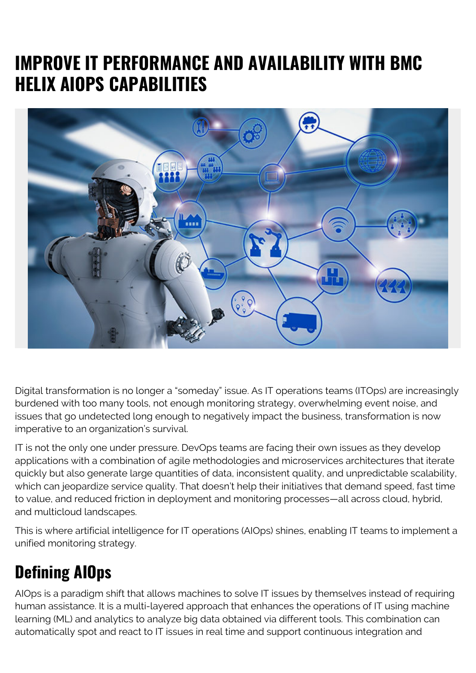## **IMPROVE IT PERFORMANCE AND AVAILABILITY WITH BMC HELIX AIOPS CAPABILITIES**



Digital transformation is no longer a "someday" issue. As IT operations teams (ITOps) are increasingly burdened with too many tools, not enough monitoring strategy, overwhelming event noise, and issues that go undetected long enough to negatively impact the business, transformation is now imperative to an organization's survival.

IT is not the only one under pressure. DevOps teams are facing their own issues as they develop applications with a combination of agile methodologies and microservices architectures that iterate quickly but also generate large quantities of data, inconsistent quality, and unpredictable scalability, which can jeopardize service quality. That doesn't help their initiatives that demand speed, fast time to value, and reduced friction in deployment and monitoring processes—all across cloud, hybrid, and multicloud landscapes.

This is where artificial intelligence for IT operations (AIOps) shines, enabling IT teams to implement a unified monitoring strategy.

## **Defining AIOps**

AIOps is a paradigm shift that allows machines to solve IT issues by themselves instead of requiring human assistance. It is a multi-layered approach that enhances the operations of IT using machine learning (ML) and analytics to analyze big data obtained via different tools. This combination can automatically spot and react to IT issues in real time and support continuous integration and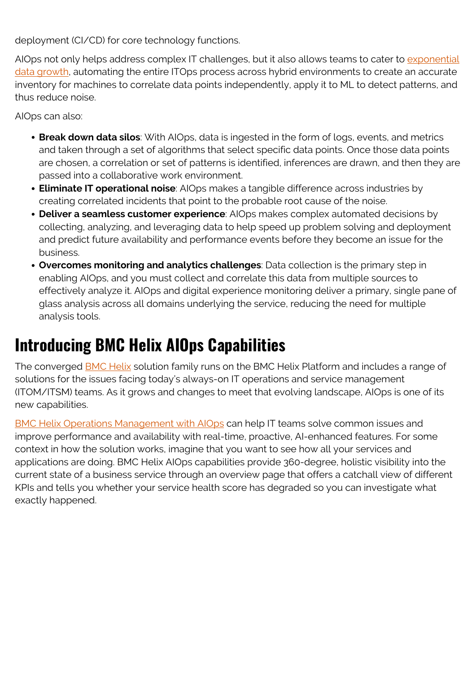deployment (CI/CD) for core technology functions.

AIOps not only helps address complex IT challenges, but it also allows teams to cater to [exponential](https://www.theseattledataguy.com/5-great-libraries-manage-big-data-with-python/) [data growth,](https://www.theseattledataguy.com/5-great-libraries-manage-big-data-with-python/) automating the entire ITOps process across hybrid environments to create an accurate inventory for machines to correlate data points independently, apply it to ML to detect patterns, and thus reduce noise.

AIOps can also:

- **Break down data silos**: With AIOps, data is ingested in the form of logs, events, and metrics and taken through a set of algorithms that select specific data points. Once those data points are chosen, a correlation or set of patterns is identified, inferences are drawn, and then they are passed into a collaborative work environment.
- **Eliminate IT operational noise**: AIOps makes a tangible difference across industries by creating correlated incidents that point to the probable root cause of the noise.
- **Deliver a seamless customer experience**: AIOps makes complex automated decisions by collecting, analyzing, and leveraging data to help speed up problem solving and deployment and predict future availability and performance events before they become an issue for the business.
- **Overcomes monitoring and analytics challenges**: Data collection is the primary step in enabling AIOps, and you must collect and correlate this data from multiple sources to effectively analyze it. AIOps and digital experience monitoring deliver a primary, single pane of glass analysis across all domains underlying the service, reducing the need for multiple analysis tools.

## **Introducing BMC Helix AIOps Capabilities**

The converged **[BMC Helix](https://blogs.bmc.com/helix)** solution family runs on the BMC Helix Platform and includes a range of solutions for the issues facing today's always-on IT operations and service management (ITOM/ITSM) teams. As it grows and changes to meet that evolving landscape, AIOps is one of its new capabilities.

[BMC Helix Operations Management with AIOps](https://blogs.bmc.com/it-solutions/bmc-helix-operations-management.html) can help IT teams solve common issues and improve performance and availability with real-time, proactive, AI-enhanced features. For some context in how the solution works, imagine that you want to see how all your services and applications are doing. BMC Helix AIOps capabilities provide 360-degree, holistic visibility into the current state of a business service through an overview page that offers a catchall view of different KPIs and tells you whether your service health score has degraded so you can investigate what exactly happened.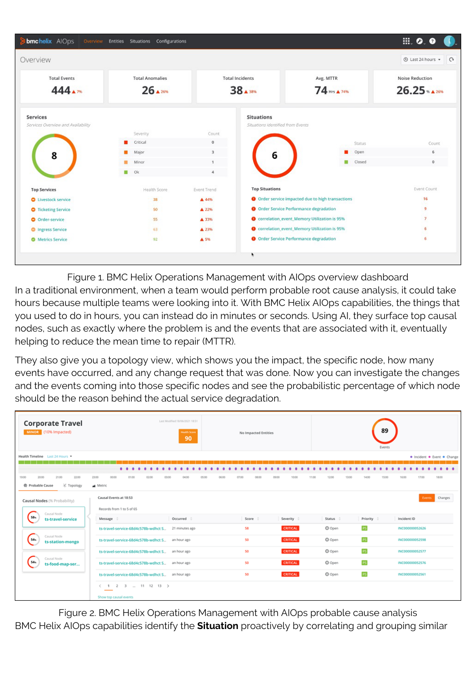

Figure 1. BMC Helix Operations Management with AIOps overview dashboard In a traditional environment, when a team would perform probable root cause analysis, it could take hours because multiple teams were looking into it. With BMC Helix AIOps capabilities, the things that you used to do in hours, you can instead do in minutes or seconds. Using AI, they surface top causal nodes, such as exactly where the problem is and the events that are associated with it, eventually helping to reduce the mean time to repair (MTTR).

They also give you a topology view, which shows you the impact, the specific node, how many events have occurred, and any change request that was done. Now you can investigate the changes and the events coming into those specific nodes and see the probabilistic percentage of which node should be the reason behind the actual service degradation.

| <b>Corporate Travel</b><br>MINOR (10% Impacted)                                                                                        | Last Modified:18/06/2021 18:51<br><b>Health Score</b><br>90                       | No Impacted Entities                      | 89<br>Events                                                                             |  |  |  |  |  |  |  |  |
|----------------------------------------------------------------------------------------------------------------------------------------|-----------------------------------------------------------------------------------|-------------------------------------------|------------------------------------------------------------------------------------------|--|--|--|--|--|--|--|--|
| Health Timeline Last 24 Hours<br>· Incident · Event · Change                                                                           |                                                                                   |                                           |                                                                                          |  |  |  |  |  |  |  |  |
|                                                                                                                                        |                                                                                   |                                           |                                                                                          |  |  |  |  |  |  |  |  |
| 19:00<br>20:00<br>21:00<br>22:00<br>X Topology<br><b>@</b> Probable Cause                                                              | $\cdots$<br>23:00<br>00:00<br>01:00<br>02:00<br>03:00<br>05:00<br>04:00<br>Metric | 07:00<br>08:00<br>05:00<br>09:00<br>10:00 | $\bullet\bullet$<br>15:00<br>17:00<br>18:00<br>12:00<br>13:00<br>16:00<br>11:00<br>14:00 |  |  |  |  |  |  |  |  |
| Causal Nodes (% Probability)                                                                                                           | Causal Events at 18:53                                                            |                                           | Changes<br>Events                                                                        |  |  |  |  |  |  |  |  |
| Causal Node<br>58 <sub>n</sub><br>ts-travel-service<br>Causal Node<br>54s<br>ts-station-mongo<br>Causal Node<br>54n<br>ts-food-map-ser | Records from 1 to 5 of 65                                                         |                                           |                                                                                          |  |  |  |  |  |  |  |  |
|                                                                                                                                        | Occurred :<br>Message 0                                                           | Score :<br>Severity :                     | Status :<br>Priority :<br>Incident ID                                                    |  |  |  |  |  |  |  |  |
|                                                                                                                                        | ts-travel-service-68d4c578b-wdhct S<br>21 minutes ago                             | <b>CRITICAL</b><br>58                     | <b>PS</b><br>O Open<br>INC000000052626                                                   |  |  |  |  |  |  |  |  |
|                                                                                                                                        | ts-travel-service-68d4c578b-wdhct S<br>an hour ago                                | 50<br><b>CRITICAL</b>                     | <b>P5</b><br>C Open<br>INC000000052598                                                   |  |  |  |  |  |  |  |  |
|                                                                                                                                        | ts-travel-service-68d4c578b-wdhct S<br>an hour ago                                | 50<br><b>CRITICAL</b>                     | C Open<br>INC000000052577                                                                |  |  |  |  |  |  |  |  |
|                                                                                                                                        | ts-travel-service-68d4c578b-wdhct S<br>an hour ago                                | CRITICAL<br>50                            | <b>PS</b><br>C Open<br>INC000000052576                                                   |  |  |  |  |  |  |  |  |
|                                                                                                                                        | ts-travel-service-68d4c578b-wdhct S an hour ago                                   | CRITICAL<br>50                            | <b>P5</b><br>C Open<br>INC000000052561                                                   |  |  |  |  |  |  |  |  |
|                                                                                                                                        | $(1 2 3 - 11 12 13)$                                                              |                                           |                                                                                          |  |  |  |  |  |  |  |  |
|                                                                                                                                        | Show top causal events                                                            |                                           |                                                                                          |  |  |  |  |  |  |  |  |

Figure 2. BMC Helix Operations Management with AIOps probable cause analysis BMC Helix AIOps capabilities identify the **Situation** proactively by correlating and grouping similar